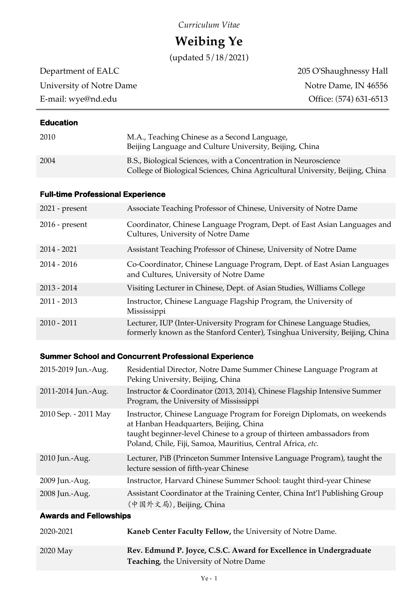# *Curriculum Vitae*

# **Weibing Ye**

(updated 5/18/2021)

University of Notre Dame Notre Dame, IN 46556

Department of EALC 205 O'Shaughnessy Hall E-mail: wye@nd.edu Office: (574) 631-6513

## **Education**

| 2010 | M.A., Teaching Chinese as a Second Language,<br>Beijing Language and Culture University, Beijing, China                                          |
|------|--------------------------------------------------------------------------------------------------------------------------------------------------|
| 2004 | B.S., Biological Sciences, with a Concentration in Neuroscience<br>College of Biological Sciences, China Agricultural University, Beijing, China |

## **Full-time Professional Experience**

| $2021$ - present | Associate Teaching Professor of Chinese, University of Notre Dame                                                                                    |
|------------------|------------------------------------------------------------------------------------------------------------------------------------------------------|
| $2016$ - present | Coordinator, Chinese Language Program, Dept. of East Asian Languages and<br>Cultures, University of Notre Dame                                       |
| $2014 - 2021$    | Assistant Teaching Professor of Chinese, University of Notre Dame                                                                                    |
| $2014 - 2016$    | Co-Coordinator, Chinese Language Program, Dept. of East Asian Languages<br>and Cultures, University of Notre Dame                                    |
| $2013 - 2014$    | Visiting Lecturer in Chinese, Dept. of Asian Studies, Williams College                                                                               |
| $2011 - 2013$    | Instructor, Chinese Language Flagship Program, the University of<br>Mississippi                                                                      |
| $2010 - 2011$    | Lecturer, IUP (Inter-University Program for Chinese Language Studies,<br>formerly known as the Stanford Center), Tsinghua University, Beijing, China |

# **Summer School and Concurrent Professional Experience**

| 2015-2019 Jun.-Aug.           | Residential Director, Notre Dame Summer Chinese Language Program at<br>Peking University, Beijing, China                                                                                                                                                  |  |
|-------------------------------|-----------------------------------------------------------------------------------------------------------------------------------------------------------------------------------------------------------------------------------------------------------|--|
| 2011-2014 Jun.-Aug.           | Instructor & Coordinator (2013, 2014), Chinese Flagship Intensive Summer<br>Program, the University of Mississippi                                                                                                                                        |  |
| 2010 Sep. - 2011 May          | Instructor, Chinese Language Program for Foreign Diplomats, on weekends<br>at Hanban Headquarters, Beijing, China<br>taught beginner-level Chinese to a group of thirteen ambassadors from<br>Poland, Chile, Fiji, Samoa, Mauritius, Central Africa, etc. |  |
| 2010 Jun.-Aug.                | Lecturer, PiB (Princeton Summer Intensive Language Program), taught the<br>lecture session of fifth-year Chinese                                                                                                                                          |  |
| 2009 Jun.-Aug.                | Instructor, Harvard Chinese Summer School: taught third-year Chinese                                                                                                                                                                                      |  |
| 2008 Jun.-Aug.                | Assistant Coordinator at the Training Center, China Int'l Publishing Group<br>(中国外文局), Beijing, China                                                                                                                                                     |  |
| <b>Awards and Fellowships</b> |                                                                                                                                                                                                                                                           |  |
| 2020-2021                     | Kaneb Center Faculty Fellow, the University of Notre Dame.                                                                                                                                                                                                |  |

| $2020$ May | Rev. Edmund P. Joyce, C.S.C. Award for Excellence in Undergraduate |
|------------|--------------------------------------------------------------------|
|            | <b>Teaching</b> , the University of Notre Dame                     |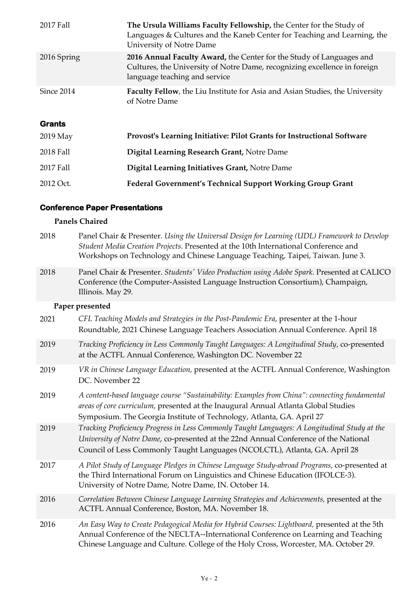| 2017 Fall     | The Ursula Williams Faculty Fellowship, the Center for the Study of<br>Languages & Cultures and the Kaneb Center for Teaching and Learning, the<br>University of Notre Dame        |
|---------------|------------------------------------------------------------------------------------------------------------------------------------------------------------------------------------|
| 2016 Spring   | 2016 Annual Faculty Award, the Center for the Study of Languages and<br>Cultures, the University of Notre Dame, recognizing excellence in foreign<br>language teaching and service |
| Since 2014    | <b>Faculty Fellow, the Liu Institute for Asia and Asian Studies, the University</b><br>of Notre Dame                                                                               |
| <b>Grants</b> |                                                                                                                                                                                    |
| $2019$ May    | Provost's Learning Initiative: Pilot Grants for Instructional Software                                                                                                             |
| 2018 Fall     | Digital Learning Research Grant, Notre Dame                                                                                                                                        |
|               |                                                                                                                                                                                    |
| 2017 Fall     | Digital Learning Initiatives Grant, Notre Dame                                                                                                                                     |

## **Conference Paper Presentations**

#### **Panels Chaired**

| 2018 | Panel Chair & Presenter. Using the Universal Design for Learning (UDL) Framework to Develop |
|------|---------------------------------------------------------------------------------------------|
|      | Student Media Creation Projects. Presented at the 10th International Conference and         |
|      | Workshops on Technology and Chinese Language Teaching, Taipei, Taiwan. June 3.              |
|      |                                                                                             |

2018 Panel Chair & Presenter. *Students' Video Production using Adobe Spark.* Presented at CALICO Conference (the Computer-Assisted Language Instruction Consortium), Champaign, Illinois. May 29.

# **Paper presented**

| 2021 | CFL Teaching Models and Strategies in the Post-Pandemic Era, presenter at the 1-hour<br>Roundtable, 2021 Chinese Language Teachers Association Annual Conference. April 18                                                                                                |
|------|---------------------------------------------------------------------------------------------------------------------------------------------------------------------------------------------------------------------------------------------------------------------------|
| 2019 | Tracking Proficiency in Less Commonly Taught Languages: A Longitudinal Study, co-presented<br>at the ACTFL Annual Conference, Washington DC. November 22                                                                                                                  |
| 2019 | VR in Chinese Language Education, presented at the ACTFL Annual Conference, Washington<br>DC. November 22                                                                                                                                                                 |
| 2019 | A content-based language course "Sustainability: Examples from China": connecting fundamental<br>areas of core curriculum, presented at the Inaugural Annual Atlanta Global Studies<br>Symposium. The Georgia Institute of Technology, Atlanta, GA. April 27              |
| 2019 | Tracking Proficiency Progress in Less Commonly Taught Languages: A Longitudinal Study at the<br>University of Notre Dame, co-presented at the 22nd Annual Conference of the National<br>Council of Less Commonly Taught Languages (NCOLCTL), Atlanta, GA. April 28        |
| 2017 | A Pilot Study of Language Pledges in Chinese Language Study-abroad Programs, co-presented at<br>the Third International Forum on Linguistics and Chinese Education (IFOLCE-3).<br>University of Notre Dame, Notre Dame, IN. October 14.                                   |
| 2016 | Correlation Between Chinese Language Learning Strategies and Achievements, presented at the<br>ACTFL Annual Conference, Boston, MA. November 18.                                                                                                                          |
| 2016 | An Easy Way to Create Pedagogical Media for Hybrid Courses: Lightboard, presented at the 5th<br>Annual Conference of the NECLTA--International Conference on Learning and Teaching<br>Chinese Language and Culture. College of the Holy Cross, Worcester, MA. October 29. |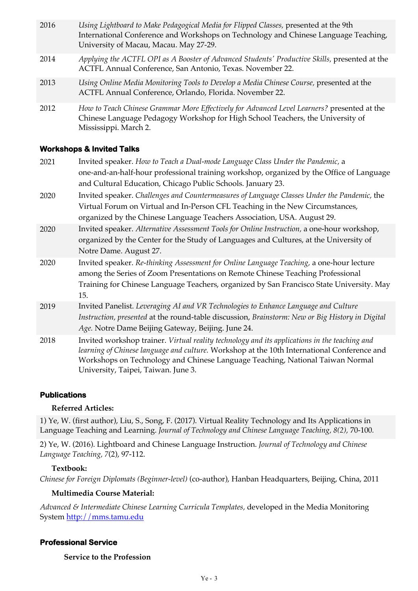| 2016 | Using Lightboard to Make Pedagogical Media for Flipped Classes, presented at the 9th<br>International Conference and Workshops on Technology and Chinese Language Teaching,<br>University of Macau, Macau. May 27-29. |
|------|-----------------------------------------------------------------------------------------------------------------------------------------------------------------------------------------------------------------------|
| 2014 | Applying the ACTFL OPI as A Booster of Advanced Students' Productive Skills, presented at the<br>ACTFL Annual Conference, San Antonio, Texas. November 22.                                                            |
| 2013 | Using Online Media Monitoring Tools to Develop a Media Chinese Course, presented at the<br>ACTFL Annual Conference, Orlando, Florida. November 22.                                                                    |
| 2012 | How to Teach Chinese Grammar More Effectively for Advanced Level Learners? presented at the<br>Chinese Language Pedagogy Workshop for High School Teachers, the University of<br>Mississippi. March 2.                |

#### **Workshops & Invited Talks**

| 2021 | Invited speaker. How to Teach a Dual-mode Language Class Under the Pandemic, a                  |
|------|-------------------------------------------------------------------------------------------------|
|      | one-and-an-half-hour professional training workshop, organized by the Office of Language        |
|      | and Cultural Education, Chicago Public Schools. January 23.                                     |
| 2020 | Invited speaker. Challenges and Countermeasures of Language Classes Under the Pandemic, the     |
|      | Virtual Forum on Virtual and In-Person CFL Teaching in the New Circumstances,                   |
|      | organized by the Chinese Language Teachers Association, USA. August 29.                         |
| 2020 | Invited speaker. Alternative Assessment Tools for Online Instruction, a one-hour workshop,      |
|      | organized by the Center for the Study of Languages and Cultures, at the University of           |
|      | Notre Dame. August 27.                                                                          |
| 2020 | Invited speaker. Re-thinking Assessment for Online Language Teaching, a one-hour lecture        |
|      | among the Series of Zoom Presentations on Remote Chinese Teaching Professional                  |
|      | Training for Chinese Language Teachers, organized by San Francisco State University. May        |
|      | 15.                                                                                             |
| 2019 | Invited Panelist. Leveraging AI and VR Technologies to Enhance Language and Culture             |
|      | Instruction, presented at the round-table discussion, Brainstorm: New or Big History in Digital |
|      | Age. Notre Dame Beijing Gateway, Beijing. June 24.                                              |
| 2018 | Invited workshop trainer. Virtual reality technology and its applications in the teaching and   |
|      | learning of Chinese language and culture. Workshop at the 10th International Conference and     |
|      | Workshops on Technology and Chinese Language Teaching, National Taiwan Normal                   |
|      | University, Taipei, Taiwan. June 3.                                                             |

#### **Publications**

#### **Referred Articles:**

1) Ye, W. (first author), Liu, S., Song, F. (2017). Virtual Reality Technology and Its Applications in Language Teaching and Learning. *Journal of Technology and Chinese Language Teaching, 8(2),* 70-100*.* 

2) Ye, W. (2016). Lightboard and Chinese Language Instruction. *Journal of Technology and Chinese Language Teaching, 7*(2), 97-112.

#### **Textbook:**

*Chinese for Foreign Diplomats (Beginner-level)* (co-author), Hanban Headquarters, Beijing, China, 2011

#### **Multimedia Course Material:**

*Advanced & Intermediate Chinese Learning Curricula Templates,* developed in the Media Monitoring System http://mms.tamu.edu

#### **Professional Service**

 **Service to the Profession**